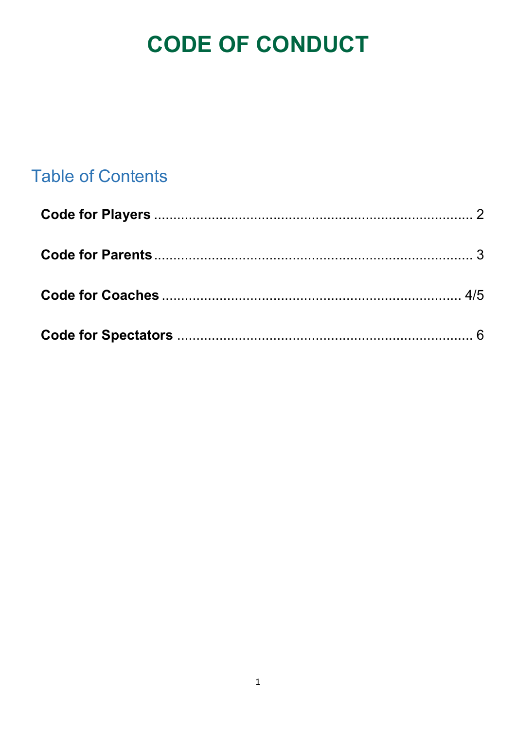# **CODE OF CONDUCT**

## **Table of Contents**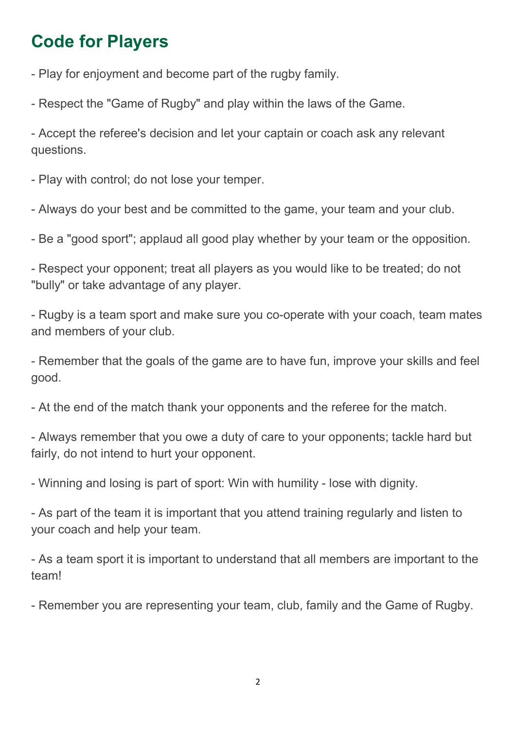## Code for Players

- Play for enjoyment and become part of the rugby family.

- Respect the "Game of Rugby" and play within the laws of the Game.

- Accept the referee's decision and let your captain or coach ask any relevant questions.

- Play with control; do not lose your temper.

- Always do your best and be committed to the game, your team and your club.

- Be a "good sport"; applaud all good play whether by your team or the opposition.

- Respect your opponent; treat all players as you would like to be treated; do not "bully" or take advantage of any player.

- Rugby is a team sport and make sure you co-operate with your coach, team mates and members of your club.

- Remember that the goals of the game are to have fun, improve your skills and feel good.

- At the end of the match thank your opponents and the referee for the match.

- Always remember that you owe a duty of care to your opponents; tackle hard but fairly, do not intend to hurt your opponent.

- Winning and losing is part of sport: Win with humility - lose with dignity.

- As part of the team it is important that you attend training regularly and listen to your coach and help your team.

- As a team sport it is important to understand that all members are important to the team!

- Remember you are representing your team, club, family and the Game of Rugby.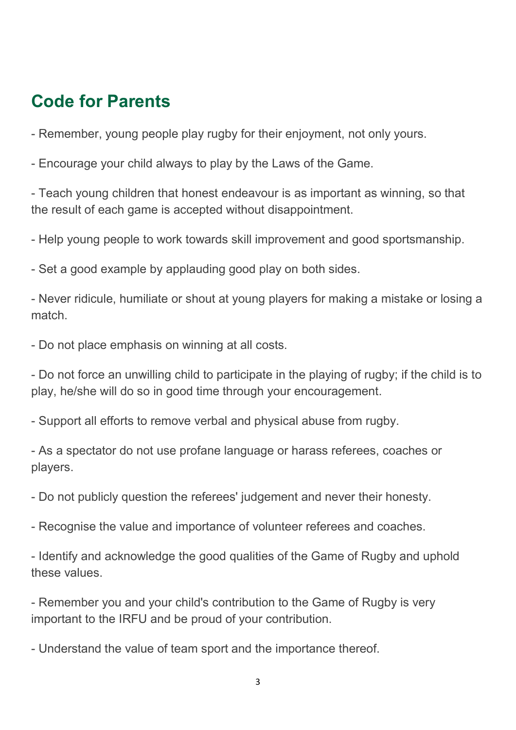#### Code for Parents

- Remember, young people play rugby for their enjoyment, not only yours.

- Encourage your child always to play by the Laws of the Game.

- Teach young children that honest endeavour is as important as winning, so that the result of each game is accepted without disappointment.

- Help young people to work towards skill improvement and good sportsmanship.

- Set a good example by applauding good play on both sides.

- Never ridicule, humiliate or shout at young players for making a mistake or losing a match.

- Do not place emphasis on winning at all costs.

- Do not force an unwilling child to participate in the playing of rugby; if the child is to play, he/she will do so in good time through your encouragement.

- Support all efforts to remove verbal and physical abuse from rugby.

- As a spectator do not use profane language or harass referees, coaches or players.

- Do not publicly question the referees' judgement and never their honesty.

- Recognise the value and importance of volunteer referees and coaches.

- Identify and acknowledge the good qualities of the Game of Rugby and uphold these values.

- Remember you and your child's contribution to the Game of Rugby is very important to the IRFU and be proud of your contribution.

- Understand the value of team sport and the importance thereof.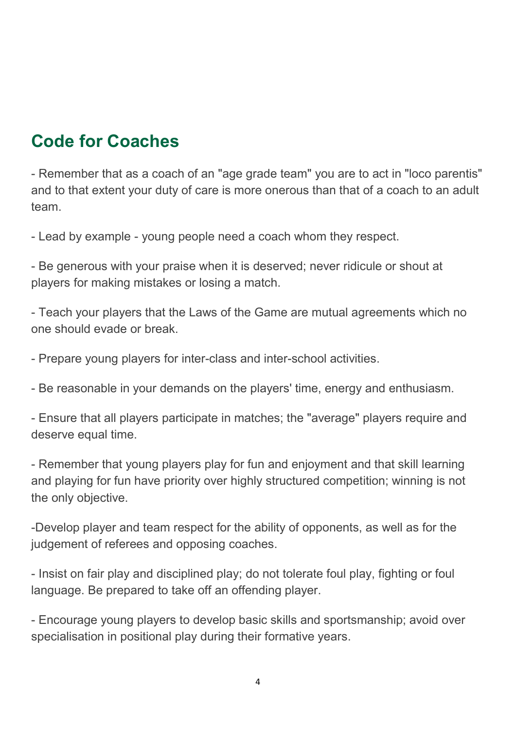# Code for Coaches

- Remember that as a coach of an "age grade team" you are to act in "loco parentis" and to that extent your duty of care is more onerous than that of a coach to an adult team.

- Lead by example - young people need a coach whom they respect.

- Be generous with your praise when it is deserved; never ridicule or shout at players for making mistakes or losing a match.

- Teach your players that the Laws of the Game are mutual agreements which no one should evade or break.

- Prepare young players for inter-class and inter-school activities.

- Be reasonable in your demands on the players' time, energy and enthusiasm.

- Ensure that all players participate in matches; the "average" players require and deserve equal time.

- Remember that young players play for fun and enjoyment and that skill learning and playing for fun have priority over highly structured competition; winning is not the only objective.

-Develop player and team respect for the ability of opponents, as well as for the judgement of referees and opposing coaches.

- Insist on fair play and disciplined play; do not tolerate foul play, fighting or foul language. Be prepared to take off an offending player.

- Encourage young players to develop basic skills and sportsmanship; avoid over specialisation in positional play during their formative years.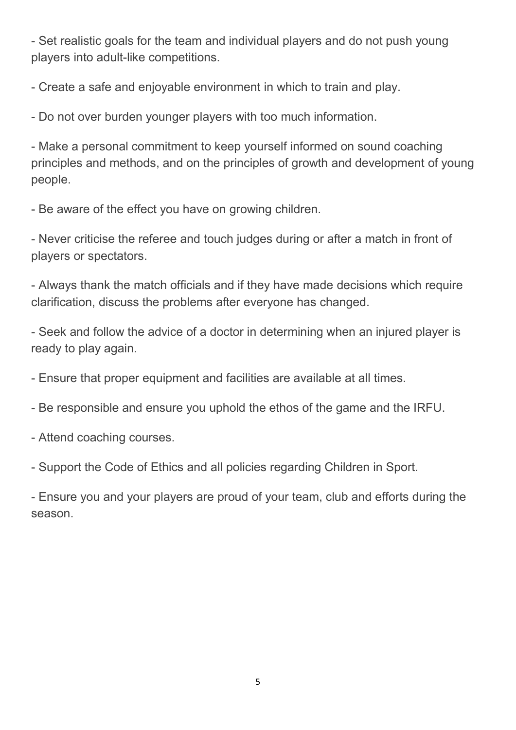- Set realistic goals for the team and individual players and do not push young players into adult-like competitions.

- Create a safe and enjoyable environment in which to train and play.

- Do not over burden younger players with too much information.

- Make a personal commitment to keep yourself informed on sound coaching principles and methods, and on the principles of growth and development of young people.

- Be aware of the effect you have on growing children.

- Never criticise the referee and touch judges during or after a match in front of players or spectators.

- Always thank the match officials and if they have made decisions which require clarification, discuss the problems after everyone has changed.

- Seek and follow the advice of a doctor in determining when an injured player is ready to play again.

- Ensure that proper equipment and facilities are available at all times.

- Be responsible and ensure you uphold the ethos of the game and the IRFU.

- Attend coaching courses.

- Support the Code of Ethics and all policies regarding Children in Sport.

- Ensure you and your players are proud of your team, club and efforts during the season.